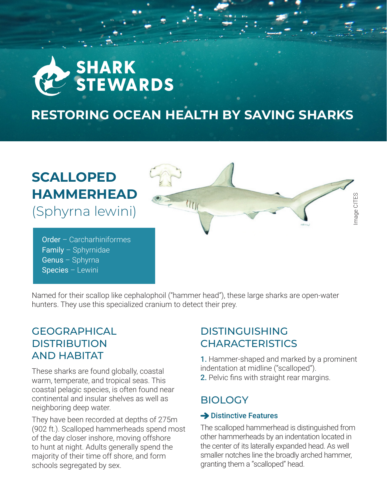

# **RESTORING OCEAN HEALTH BY SAVING SHARKS**

# **SCALLOPED HAMMERHEAD**

(Sphyrna lewini)

Order – Carcharhiniformes Family – Sphyrnidae Genus – Sphyrna Species – Lewini

Image CITES Image CITES

Named for their scallop like cephalophoil ("hammer head"), these large sharks are open-water hunters. They use this specialized cranium to detect their prey.

# **GEOGRAPHICAL DISTRIBUTION** AND HABITAT

These sharks are found globally, coastal warm, temperate, and tropical seas. This coastal pelagic species, is often found near continental and insular shelves as well as neighboring deep water.

They have been recorded at depths of 275m (902 ft.). Scalloped hammerheads spend most of the day closer inshore, moving offshore to hunt at night. Adults generally spend the majority of their time off shore, and form schools segregated by sex.

# DISTINGUISHING **CHARACTERISTICS**

1. Hammer-shaped and marked by a prominent indentation at midline ("scalloped"). 2. Pelvic fins with straight rear margins.

# **BIOLOGY**

## **→ Distinctive Features**

The scalloped hammerhead is distinguished from other hammerheads by an indentation located in the center of its laterally expanded head. As well smaller notches line the broadly arched hammer, granting them a "scalloped" head.